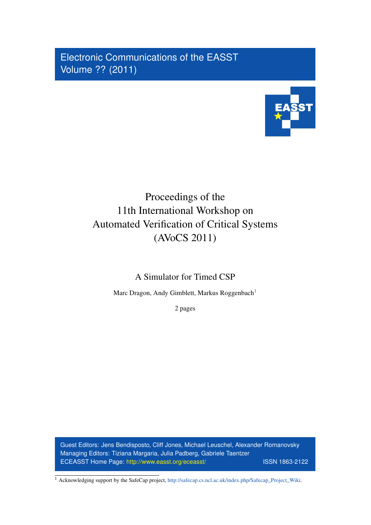Electronic Communications of the EASST Volume ?? (2011)



## Proceedings of the 11th International Workshop on Automated Verification of Critical Systems (AVoCS 2011)

A Simulator for Timed CSP

Marc Dragon, Andy Gimblett, Markus Roggenbach<sup>[1](#page-0-0)</sup>

2 pages

Guest Editors: Jens Bendisposto, Cliff Jones, Michael Leuschel, Alexander Romanovsky Managing Editors: Tiziana Margaria, Julia Padberg, Gabriele Taentzer ECEASST Home Page: <http://www.easst.org/eceasst/> ISSN 1863-2122

<span id="page-0-0"></span><sup>1</sup> Acknowledging support by the SafeCap project, [http://safecap.cs.ncl.ac.uk/index.php/Safecap](http://safecap.cs.ncl.ac.uk/index.php/Safecap_Project_Wiki)\_Project\_Wiki.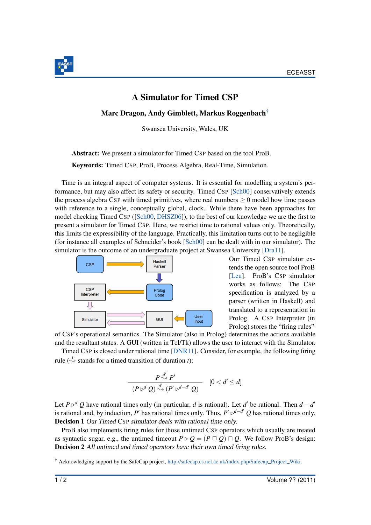

## A Simulator for Timed CSP

Marc Dragon, Andy Gimblett, Markus Roggenbach[†](#page-1-0)

Swansea University, Wales, UK

Abstract: We present a simulator for Timed CSP based on the tool ProB.

Keywords: Timed CSP, ProB, Process Algebra, Real-Time, Simulation.

Time is an integral aspect of computer systems. It is essential for modelling a system's performance, but may also affect its safety or security. Timed CSP [\[Sch00\]](#page-2-0) conservatively extends the process algebra CSP with timed primitives, where real numbers  $\geq 0$  model how time passes with reference to a single, conceptually global, clock. While there have been approaches for model checking Timed CSP ([\[Sch00,](#page-2-0) [DHSZ06\]](#page-2-1)), to the best of our knowledge we are the first to present a simulator for Timed CSP. Here, we restrict time to rational values only. Theoretically, this limits the expressibility of the language. Practically, this limitation turns out to be negligible (for instance all examples of Schneider's book [\[Sch00\]](#page-2-0) can be dealt with in our simulator). The simulator is the outcome of an undergraduate project at Swansea University [\[Dra11\]](#page-2-2).



Our Timed CSP simulator extends the open source tool ProB [\[Leu\]](#page-2-3). ProB's CSP simulator works as follows: The CSP specification is analyzed by a parser (written in Haskell) and translated to a representation in Prolog. A CSP Interpreter (in Prolog) stores the "firing rules"

of CSP's operational semantics. The Simulator (also in Prolog) determines the actions available and the resultant states. A GUI (written in Tcl/Tk) allows the user to interact with the Simulator.

Timed CSP is closed under rational time [\[DNR11\]](#page-2-4). Consider, for example, the following firing rule  $\left(\frac{t}{\sqrt{r}}\right)$  stands for a timed transition of duration *t*):

$$
\frac{P \stackrel{d'}{\rightsquigarrow} P'}{(P \triangleright^d Q) \stackrel{d'}{\rightsquigarrow} (P' \triangleright^{d-d'} Q)} \quad [0 < d' \le d]
$$

Let  $P \triangleright^d Q$  have rational times only (in particular, *d* is rational). Let *d'* be rational. Then  $d - d'$ is rational and, by induction,  $P'$  has rational times only. Thus,  $P' \triangleright^{d-d'} Q$  has rational times only. Decision 1 Our Timed CSP simulator deals with rational time only.

ProB also implements firing rules for those untimed CSP operators which usually are treated as syntactic sugar, e.g., the untimed timeout  $P \triangleright Q = (P \square Q) \square Q$ . We follow ProB's design: Decision 2 All untimed and timed operators have their own timed firing rules.

<span id="page-1-0"></span><sup>†</sup> Acknowledging support by the SafeCap project, [http://safecap.cs.ncl.ac.uk/index.php/Safecap](http://safecap.cs.ncl.ac.uk/index.php/Safecap_Project_Wiki) Project Wiki.